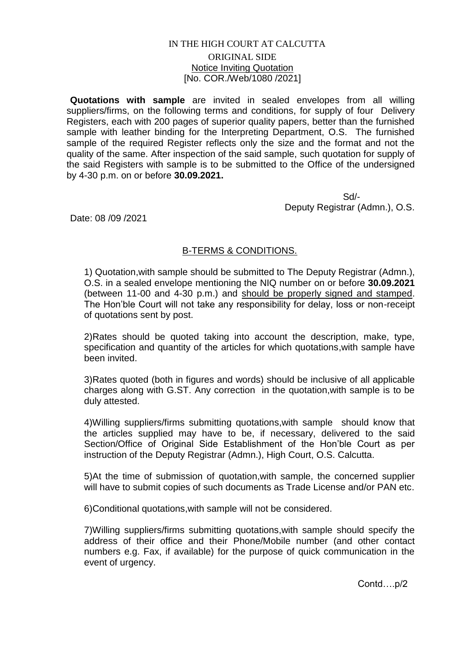## IN THE HIGH COURT AT CALCUTTA ORIGINAL SIDE Notice Inviting Quotation [No. COR./Web/1080 /2021]

**Quotations with sample** are invited in sealed envelopes from all willing suppliers/firms, on the following terms and conditions, for supply of four Delivery Registers, each with 200 pages of superior quality papers, better than the furnished sample with leather binding for the Interpreting Department, O.S. The furnished sample of the required Register reflects only the size and the format and not the quality of the same. After inspection of the said sample, such quotation for supply of the said Registers with sample is to be submitted to the Office of the undersigned by 4-30 p.m. on or before **30.09.2021.**

 Sd/- Deputy Registrar (Admn.), O.S.

Date: 08 /09 /2021

## B-TERMS & CONDITIONS.

1) Quotation,with sample should be submitted to The Deputy Registrar (Admn.), O.S. in a sealed envelope mentioning the NIQ number on or before **30.09.2021** (between 11-00 and 4-30 p.m.) and should be properly signed and stamped. The Hon'ble Court will not take any responsibility for delay, loss or non-receipt of quotations sent by post.

2)Rates should be quoted taking into account the description, make, type, specification and quantity of the articles for which quotations,with sample have been invited.

3)Rates quoted (both in figures and words) should be inclusive of all applicable charges along with G.ST. Any correction in the quotation,with sample is to be duly attested.

4)Willing suppliers/firms submitting quotations,with sample should know that the articles supplied may have to be, if necessary, delivered to the said Section/Office of Original Side Establishment of the Hon'ble Court as per instruction of the Deputy Registrar (Admn.), High Court, O.S. Calcutta.

5)At the time of submission of quotation,with sample, the concerned supplier will have to submit copies of such documents as Trade License and/or PAN etc.

6)Conditional quotations,with sample will not be considered.

7)Willing suppliers/firms submitting quotations,with sample should specify the address of their office and their Phone/Mobile number (and other contact numbers e.g. Fax, if available) for the purpose of quick communication in the event of urgency.

Contd….p/2